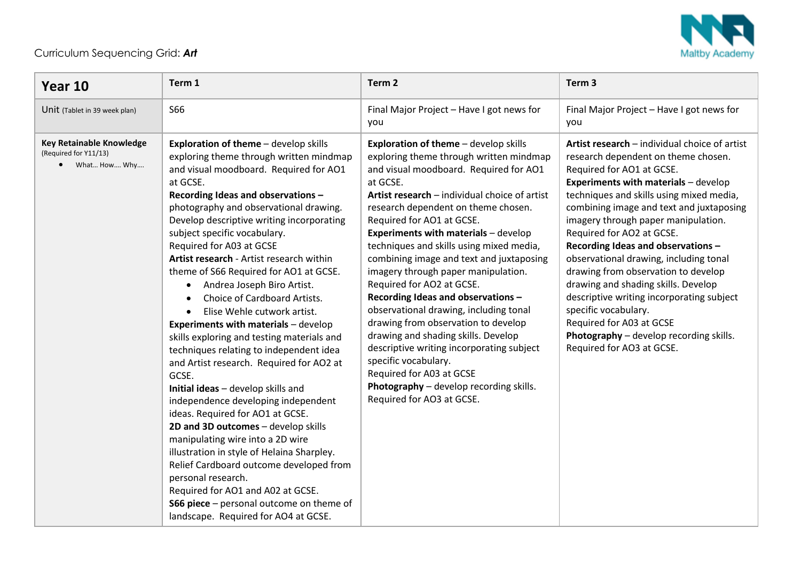

## Curriculum Sequencing Grid: *Art*

| Year 10                                                             | Term 1                                                                                                                                                                                                                                                                                                                                                                                                                                                                                                                                                                                                                                                                                                                                                                                                                                                                                                                                                                                                                                                                                                                                                                                            | Term <sub>2</sub>                                                                                                                                                                                                                                                                                                                                                                                                                                                                                                                                                                                                                                                                                                                                                                                                    | Term <sub>3</sub>                                                                                                                                                                                                                                                                                                                                                                                                                                                                                                                                                                                                                                                   |
|---------------------------------------------------------------------|---------------------------------------------------------------------------------------------------------------------------------------------------------------------------------------------------------------------------------------------------------------------------------------------------------------------------------------------------------------------------------------------------------------------------------------------------------------------------------------------------------------------------------------------------------------------------------------------------------------------------------------------------------------------------------------------------------------------------------------------------------------------------------------------------------------------------------------------------------------------------------------------------------------------------------------------------------------------------------------------------------------------------------------------------------------------------------------------------------------------------------------------------------------------------------------------------|----------------------------------------------------------------------------------------------------------------------------------------------------------------------------------------------------------------------------------------------------------------------------------------------------------------------------------------------------------------------------------------------------------------------------------------------------------------------------------------------------------------------------------------------------------------------------------------------------------------------------------------------------------------------------------------------------------------------------------------------------------------------------------------------------------------------|---------------------------------------------------------------------------------------------------------------------------------------------------------------------------------------------------------------------------------------------------------------------------------------------------------------------------------------------------------------------------------------------------------------------------------------------------------------------------------------------------------------------------------------------------------------------------------------------------------------------------------------------------------------------|
| Unit (Tablet in 39 week plan)                                       | <b>S66</b>                                                                                                                                                                                                                                                                                                                                                                                                                                                                                                                                                                                                                                                                                                                                                                                                                                                                                                                                                                                                                                                                                                                                                                                        | Final Major Project - Have I got news for<br>you                                                                                                                                                                                                                                                                                                                                                                                                                                                                                                                                                                                                                                                                                                                                                                     | Final Major Project - Have I got news for<br>you                                                                                                                                                                                                                                                                                                                                                                                                                                                                                                                                                                                                                    |
| Key Retainable Knowledge<br>(Required for Y11/13)<br>• What How Why | <b>Exploration of theme</b> - develop skills<br>exploring theme through written mindmap<br>and visual moodboard. Required for AO1<br>at GCSE.<br>Recording Ideas and observations -<br>photography and observational drawing.<br>Develop descriptive writing incorporating<br>subject specific vocabulary.<br>Required for A03 at GCSE<br>Artist research - Artist research within<br>theme of S66 Required for AO1 at GCSE.<br>Andrea Joseph Biro Artist.<br>$\bullet$<br>Choice of Cardboard Artists.<br>$\bullet$<br>Elise Wehle cutwork artist.<br>$\bullet$<br><b>Experiments with materials - develop</b><br>skills exploring and testing materials and<br>techniques relating to independent idea<br>and Artist research. Required for AO2 at<br>GCSE.<br>Initial ideas - develop skills and<br>independence developing independent<br>ideas. Required for AO1 at GCSE.<br>2D and 3D outcomes - develop skills<br>manipulating wire into a 2D wire<br>illustration in style of Helaina Sharpley.<br>Relief Cardboard outcome developed from<br>personal research.<br>Required for AO1 and A02 at GCSE.<br>S66 piece - personal outcome on theme of<br>landscape. Required for AO4 at GCSE. | <b>Exploration of theme</b> - develop skills<br>exploring theme through written mindmap<br>and visual moodboard. Required for AO1<br>at GCSE.<br>Artist research - individual choice of artist<br>research dependent on theme chosen.<br>Required for AO1 at GCSE.<br><b>Experiments with materials - develop</b><br>techniques and skills using mixed media,<br>combining image and text and juxtaposing<br>imagery through paper manipulation.<br>Required for AO2 at GCSE.<br>Recording Ideas and observations -<br>observational drawing, including tonal<br>drawing from observation to develop<br>drawing and shading skills. Develop<br>descriptive writing incorporating subject<br>specific vocabulary.<br>Required for A03 at GCSE<br>Photography - develop recording skills.<br>Required for AO3 at GCSE. | Artist research - individual choice of artist<br>research dependent on theme chosen.<br>Required for AO1 at GCSE.<br><b>Experiments with materials</b> - develop<br>techniques and skills using mixed media,<br>combining image and text and juxtaposing<br>imagery through paper manipulation.<br>Required for AO2 at GCSE.<br>Recording Ideas and observations -<br>observational drawing, including tonal<br>drawing from observation to develop<br>drawing and shading skills. Develop<br>descriptive writing incorporating subject<br>specific vocabulary.<br>Required for A03 at GCSE<br>Photography - develop recording skills.<br>Required for AO3 at GCSE. |